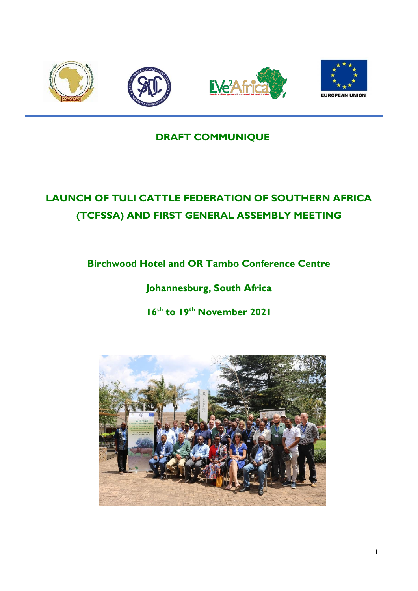

# **DRAFT COMMUNIQUE**

# **LAUNCH OF TULI CATTLE FEDERATION OF SOUTHERN AFRICA (TCFSSA) AND FIRST GENERAL ASSEMBLY MEETING**

**Birchwood Hotel and OR Tambo Conference Centre** 

**Johannesburg, South Africa** 

**16th to 19 th November 2021**

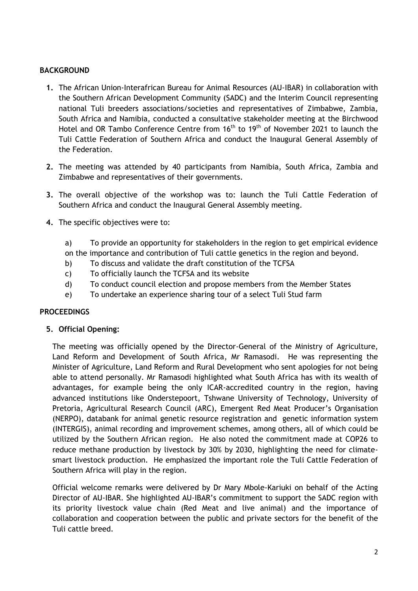# **BACKGROUND**

- **1.** The African Union-Interafrican Bureau for Animal Resources (AU-IBAR) in collaboration with the Southern African Development Community (SADC) and the Interim Council representing national Tuli breeders associations/societies and representatives of Zimbabwe, Zambia, South Africa and Namibia, conducted a consultative stakeholder meeting at the Birchwood Hotel and OR Tambo Conference Centre from 16<sup>th</sup> to 19<sup>th</sup> of November 2021 to launch the Tuli Cattle Federation of Southern Africa and conduct the Inaugural General Assembly of the Federation.
- **2.** The meeting was attended by 40 participants from Namibia, South Africa, Zambia and Zimbabwe and representatives of their governments.
- **3.** The overall objective of the workshop was to: launch the Tuli Cattle Federation of Southern Africa and conduct the Inaugural General Assembly meeting.
- **4.** The specific objectives were to:
	- a) To provide an opportunity for stakeholders in the region to get empirical evidence on the importance and contribution of Tuli cattle genetics in the region and beyond.
	- b) To discuss and validate the draft constitution of the TCFSA
	- c) To officially launch the TCFSA and its website
	- d) To conduct council election and propose members from the Member States
	- e) To undertake an experience sharing tour of a select Tuli Stud farm

# **PROCEEDINGS**

**5. Official Opening:**

The meeting was officially opened by the Director-General of the Ministry of Agriculture, Land Reform and Development of South Africa, Mr Ramasodi. He was representing the Minister of Agriculture, Land Reform and Rural Development who sent apologies for not being able to attend personally. Mr Ramasodi highlighted what South Africa has with its wealth of advantages, for example being the only ICAR-accredited country in the region, having advanced institutions like Onderstepoort, Tshwane University of Technology, University of Pretoria, Agricultural Research Council (ARC), Emergent Red Meat Producer's Organisation (NERPO), databank for animal genetic resource registration and genetic information system (INTERGIS), animal recording and improvement schemes, among others, all of which could be utilized by the Southern African region. He also noted the commitment made at COP26 to reduce methane production by livestock by 30% by 2030, highlighting the need for climatesmart livestock production. He emphasized the important role the Tuli Cattle Federation of Southern Africa will play in the region.

Official welcome remarks were delivered by Dr Mary Mbole-Kariuki on behalf of the Acting Director of AU-IBAR. She highlighted AU-IBAR's commitment to support the SADC region with its priority livestock value chain (Red Meat and live animal) and the importance of collaboration and cooperation between the public and private sectors for the benefit of the Tuli cattle breed.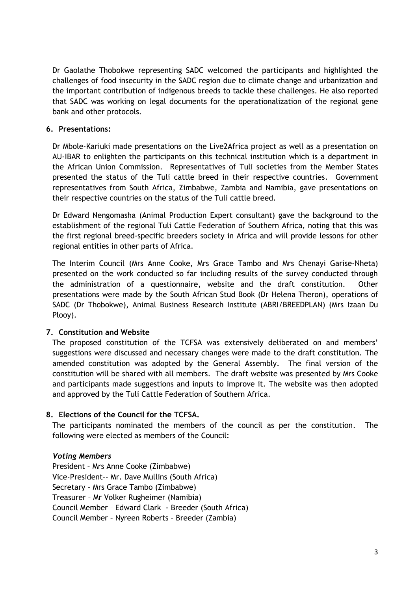Dr Gaolathe Thobokwe representing SADC welcomed the participants and highlighted the challenges of food insecurity in the SADC region due to climate change and urbanization and the important contribution of indigenous breeds to tackle these challenges. He also reported that SADC was working on legal documents for the operationalization of the regional gene bank and other protocols.

### **6. Presentations:**

Dr Mbole-Kariuki made presentations on the Live2Africa project as well as a presentation on AU-IBAR to enlighten the participants on this technical institution which is a department in the African Union Commission. Representatives of Tuli societies from the Member States presented the status of the Tuli cattle breed in their respective countries. Government representatives from South Africa, Zimbabwe, Zambia and Namibia, gave presentations on their respective countries on the status of the Tuli cattle breed.

Dr Edward Nengomasha (Animal Production Expert consultant) gave the background to the establishment of the regional Tuli Cattle Federation of Southern Africa, noting that this was the first regional breed-specific breeders society in Africa and will provide lessons for other regional entities in other parts of Africa.

The Interim Council (Mrs Anne Cooke, Mrs Grace Tambo and Mrs Chenayi Garise-Nheta) presented on the work conducted so far including results of the survey conducted through the administration of a questionnaire, website and the draft constitution. Other presentations were made by the South African Stud Book (Dr Helena Theron), operations of SADC (Dr Thobokwe), Animal Business Research Institute (ABRI/BREEDPLAN) (Mrs Izaan Du Plooy).

# **7. Constitution and Website**

The proposed constitution of the TCFSA was extensively deliberated on and members' suggestions were discussed and necessary changes were made to the draft constitution. The amended constitution was adopted by the General Assembly. The final version of the constitution will be shared with all members. The draft website was presented by Mrs Cooke and participants made suggestions and inputs to improve it. The website was then adopted and approved by the Tuli Cattle Federation of Southern Africa.

#### **8. Elections of the Council for the TCFSA.**

The participants nominated the members of the council as per the constitution. The following were elected as members of the Council:

#### *Voting Members*

President – Mrs Anne Cooke (Zimbabwe) Vice-President–- Mr. Dave Mullins (South Africa) Secretary – Mrs Grace Tambo (Zimbabwe) Treasurer – Mr Volker Rugheimer (Namibia) Council Member – Edward Clark - Breeder (South Africa) Council Member – Nyreen Roberts – Breeder (Zambia)